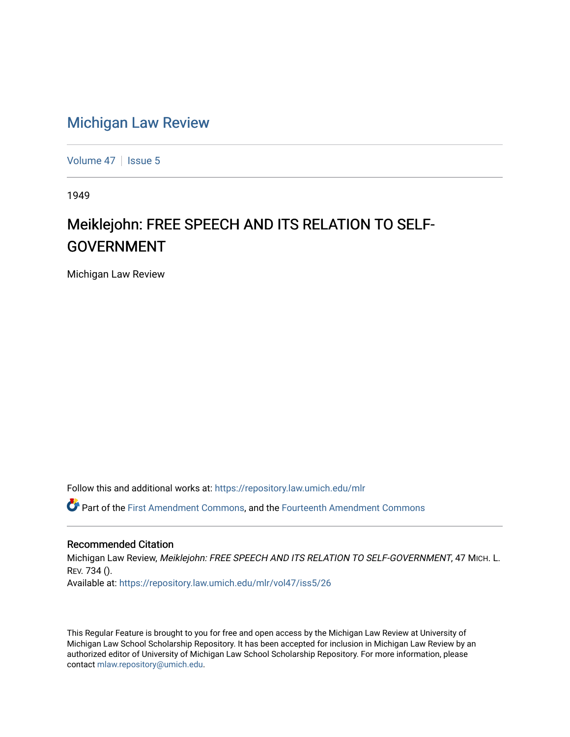## [Michigan Law Review](https://repository.law.umich.edu/mlr)

[Volume 47](https://repository.law.umich.edu/mlr/vol47) | [Issue 5](https://repository.law.umich.edu/mlr/vol47/iss5)

1949

# Meiklejohn: FREE SPEECH AND ITS RELATION TO SELF-GOVERNMENT

Michigan Law Review

Follow this and additional works at: [https://repository.law.umich.edu/mlr](https://repository.law.umich.edu/mlr?utm_source=repository.law.umich.edu%2Fmlr%2Fvol47%2Fiss5%2F26&utm_medium=PDF&utm_campaign=PDFCoverPages) 

Part of the [First Amendment Commons,](http://network.bepress.com/hgg/discipline/1115?utm_source=repository.law.umich.edu%2Fmlr%2Fvol47%2Fiss5%2F26&utm_medium=PDF&utm_campaign=PDFCoverPages) and the [Fourteenth Amendment Commons](http://network.bepress.com/hgg/discipline/1116?utm_source=repository.law.umich.edu%2Fmlr%2Fvol47%2Fiss5%2F26&utm_medium=PDF&utm_campaign=PDFCoverPages) 

### Recommended Citation

Michigan Law Review, Meiklejohn: FREE SPEECH AND ITS RELATION TO SELF-GOVERNMENT, 47 MICH. L. REV. 734 (). Available at: [https://repository.law.umich.edu/mlr/vol47/iss5/26](https://repository.law.umich.edu/mlr/vol47/iss5/26?utm_source=repository.law.umich.edu%2Fmlr%2Fvol47%2Fiss5%2F26&utm_medium=PDF&utm_campaign=PDFCoverPages) 

This Regular Feature is brought to you for free and open access by the Michigan Law Review at University of Michigan Law School Scholarship Repository. It has been accepted for inclusion in Michigan Law Review by an authorized editor of University of Michigan Law School Scholarship Repository. For more information, please contact [mlaw.repository@umich.edu](mailto:mlaw.repository@umich.edu).